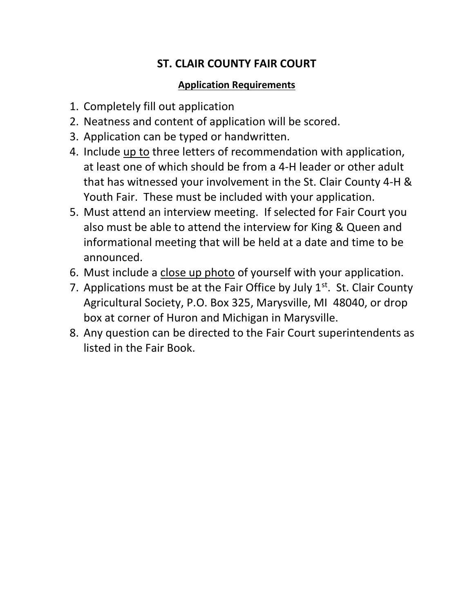## ST. CLAIR COUNTY FAIR COURT

## Application Requirements

- 1. Completely fill out application
- 2. Neatness and content of application will be scored.
- 3. Application can be typed or handwritten.
- 4. Include up to three letters of recommendation with application, at least one of which should be from a 4-H leader or other adult that has witnessed your involvement in the St. Clair County 4-H & Youth Fair. These must be included with your application.
- 5. Must attend an interview meeting. If selected for Fair Court you also must be able to attend the interview for King & Queen and informational meeting that will be held at a date and time to be announced.
- 6. Must include a close up photo of yourself with your application.
- 7. Applications must be at the Fair Office by July  $1<sup>st</sup>$ . St. Clair County Agricultural Society, P.O. Box 325, Marysville, MI 48040, or drop box at corner of Huron and Michigan in Marysville.
- 8. Any question can be directed to the Fair Court superintendents as listed in the Fair Book.